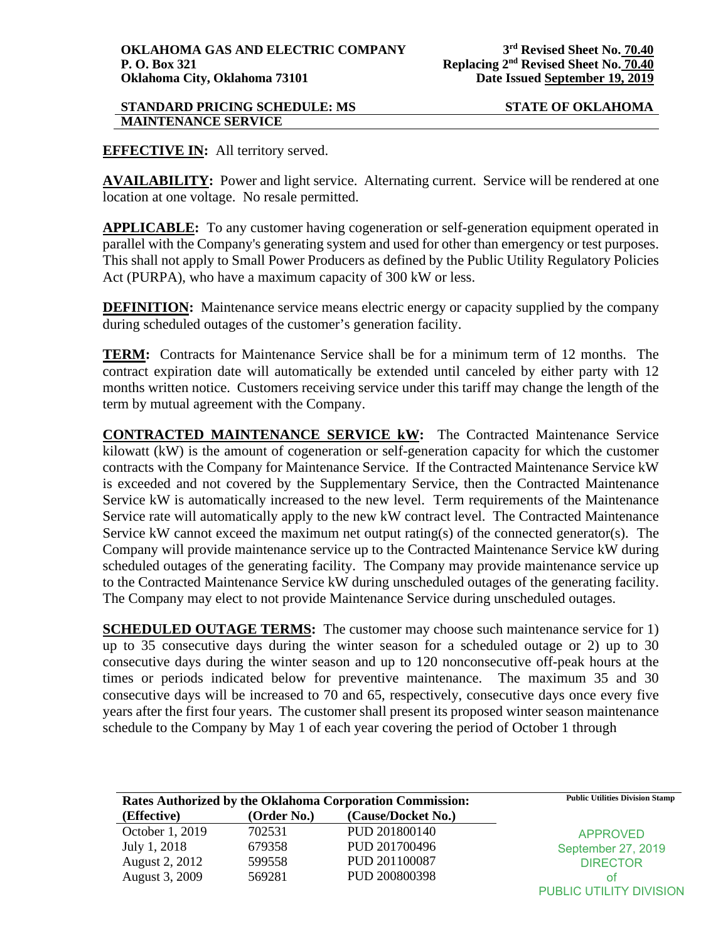**EFFECTIVE IN:** All territory served.

**AVAILABILITY:** Power and light service. Alternating current. Service will be rendered at one location at one voltage. No resale permitted.

**APPLICABLE:** To any customer having cogeneration or self-generation equipment operated in parallel with the Company's generating system and used for other than emergency or test purposes. This shall not apply to Small Power Producers as defined by the Public Utility Regulatory Policies Act (PURPA), who have a maximum capacity of 300 kW or less.

**DEFINITION:** Maintenance service means electric energy or capacity supplied by the company during scheduled outages of the customer's generation facility.

**TERM:** Contracts for Maintenance Service shall be for a minimum term of 12 months. The contract expiration date will automatically be extended until canceled by either party with 12 months written notice. Customers receiving service under this tariff may change the length of the term by mutual agreement with the Company.

**CONTRACTED MAINTENANCE SERVICE kW:** The Contracted Maintenance Service kilowatt (kW) is the amount of cogeneration or self-generation capacity for which the customer contracts with the Company for Maintenance Service. If the Contracted Maintenance Service kW is exceeded and not covered by the Supplementary Service, then the Contracted Maintenance Service kW is automatically increased to the new level. Term requirements of the Maintenance Service rate will automatically apply to the new kW contract level. The Contracted Maintenance Service kW cannot exceed the maximum net output rating(s) of the connected generator(s). The Company will provide maintenance service up to the Contracted Maintenance Service kW during scheduled outages of the generating facility. The Company may provide maintenance service up to the Contracted Maintenance Service kW during unscheduled outages of the generating facility. The Company may elect to not provide Maintenance Service during unscheduled outages.

**SCHEDULED OUTAGE TERMS:** The customer may choose such maintenance service for 1) up to 35 consecutive days during the winter season for a scheduled outage or 2) up to 30 consecutive days during the winter season and up to 120 nonconsecutive off-peak hours at the times or periods indicated below for preventive maintenance. The maximum 35 and 30 consecutive days will be increased to 70 and 65, respectively, consecutive days once every five years after the first four years. The customer shall present its proposed winter season maintenance schedule to the Company by May 1 of each year covering the period of October 1 through

| Rates Authorized by the Oklahoma Corporation Commission: |             |                    | <b>Public Utilities Division Stamp</b> |
|----------------------------------------------------------|-------------|--------------------|----------------------------------------|
| (Effective)                                              | (Order No.) | (Cause/Docket No.) |                                        |
| October 1, 2019                                          | 702531      | PUD 201800140      | <b>APPROVED</b>                        |
| July 1, 2018                                             | 679358      | PUD 201700496      | September 27, 2019                     |
| August 2, 2012                                           | 599558      | PUD 201100087      | <b>DIRECTOR</b>                        |
| August 3, 2009                                           | 569281      | PUD 200800398      | Ωt                                     |
|                                                          |             |                    | PUBLIC UTILITY DIVISION                |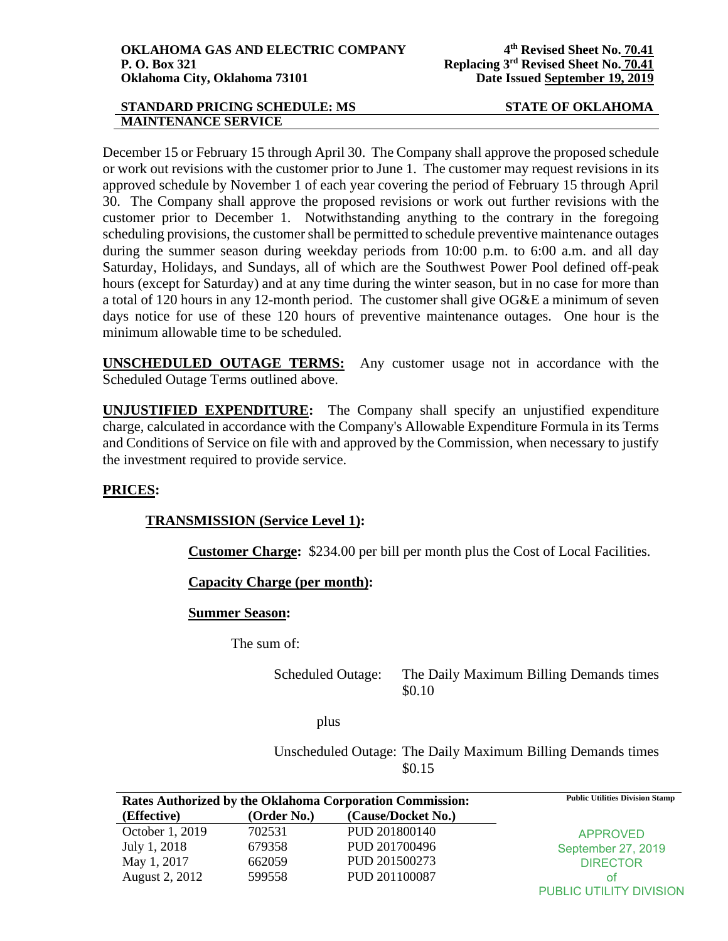December 15 or February 15 through April 30. The Company shall approve the proposed schedule or work out revisions with the customer prior to June 1. The customer may request revisions in its approved schedule by November 1 of each year covering the period of February 15 through April 30. The Company shall approve the proposed revisions or work out further revisions with the customer prior to December 1. Notwithstanding anything to the contrary in the foregoing scheduling provisions, the customer shall be permitted to schedule preventive maintenance outages during the summer season during weekday periods from 10:00 p.m. to 6:00 a.m. and all day Saturday, Holidays, and Sundays, all of which are the Southwest Power Pool defined off-peak hours (except for Saturday) and at any time during the winter season, but in no case for more than a total of 120 hours in any 12-month period. The customer shall give OG&E a minimum of seven days notice for use of these 120 hours of preventive maintenance outages. One hour is the minimum allowable time to be scheduled.

**UNSCHEDULED OUTAGE TERMS:** Any customer usage not in accordance with the Scheduled Outage Terms outlined above.

**UNJUSTIFIED EXPENDITURE:** The Company shall specify an unjustified expenditure charge, calculated in accordance with the Company's Allowable Expenditure Formula in its Terms and Conditions of Service on file with and approved by the Commission, when necessary to justify the investment required to provide service.

# **PRICES:**

# **TRANSMISSION (Service Level 1):**

**Customer Charge:** \$234.00 per bill per month plus the Cost of Local Facilities.

**Capacity Charge (per month):** 

# **Summer Season:**

The sum of:

Scheduled Outage: The Daily Maximum Billing Demands times \$0.10

plus

Unscheduled Outage: The Daily Maximum Billing Demands times \$0.15

| Rates Authorized by the Oklahoma Corporation Commission: |             |                    | <b>Public Utilities Division Stamp</b> |
|----------------------------------------------------------|-------------|--------------------|----------------------------------------|
| (Effective)                                              | (Order No.) | (Cause/Docket No.) |                                        |
| October 1, 2019                                          | 702531      | PUD 201800140      | <b>APPROVED</b>                        |
| July 1, 2018                                             | 679358      | PUD 201700496      | September 27, 2019                     |
| May 1, 2017                                              | 662059      | PUD 201500273      | <b>DIRECTOR</b>                        |
| August 2, 2012                                           | 599558      | PUD 201100087      | Ωt                                     |
|                                                          |             |                    | PUBLIC UTILITY DIVISION                |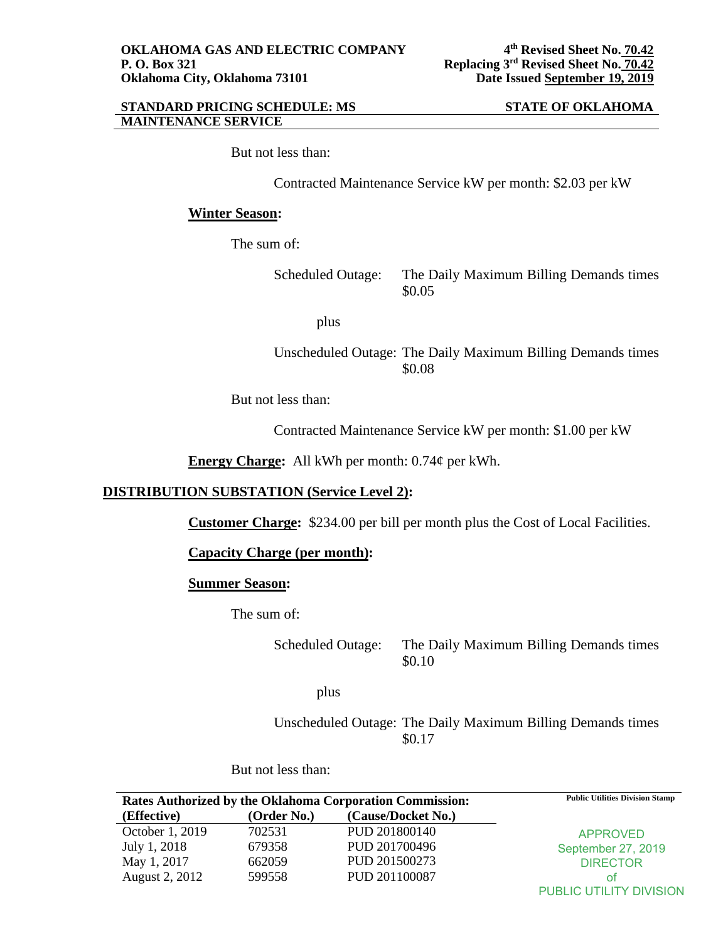But not less than:

Contracted Maintenance Service kW per month: \$2.03 per kW

# **Winter Season:**

The sum of:

Scheduled Outage: The Daily Maximum Billing Demands times \$0.05

plus

Unscheduled Outage: The Daily Maximum Billing Demands times \$0.08

But not less than:

Contracted Maintenance Service kW per month: \$1.00 per kW

**Energy Charge:** All kWh per month: 0.74¢ per kWh.

# **DISTRIBUTION SUBSTATION (Service Level 2):**

**Customer Charge:** \$234.00 per bill per month plus the Cost of Local Facilities.

**Capacity Charge (per month):** 

# **Summer Season:**

The sum of:

Scheduled Outage: The Daily Maximum Billing Demands times \$0.10

plus

Unscheduled Outage: The Daily Maximum Billing Demands times \$0.17

But not less than:

| Rates Authorized by the Oklahoma Corporation Commission: |             |                    | <b>Public Utilities Division Stamp</b> |
|----------------------------------------------------------|-------------|--------------------|----------------------------------------|
| (Effective)                                              | (Order No.) | (Cause/Docket No.) |                                        |
| October 1, 2019                                          | 702531      | PUD 201800140      | <b>APPROVED</b>                        |
| July 1, 2018                                             | 679358      | PUD 201700496      | September 27, 2019                     |
| May 1, 2017                                              | 662059      | PUD 201500273      | <b>DIRECTOR</b>                        |
| August 2, 2012                                           | 599558      | PUD 201100087      | ΩŤ                                     |
|                                                          |             |                    | PUBLIC UTILITY DIVISION                |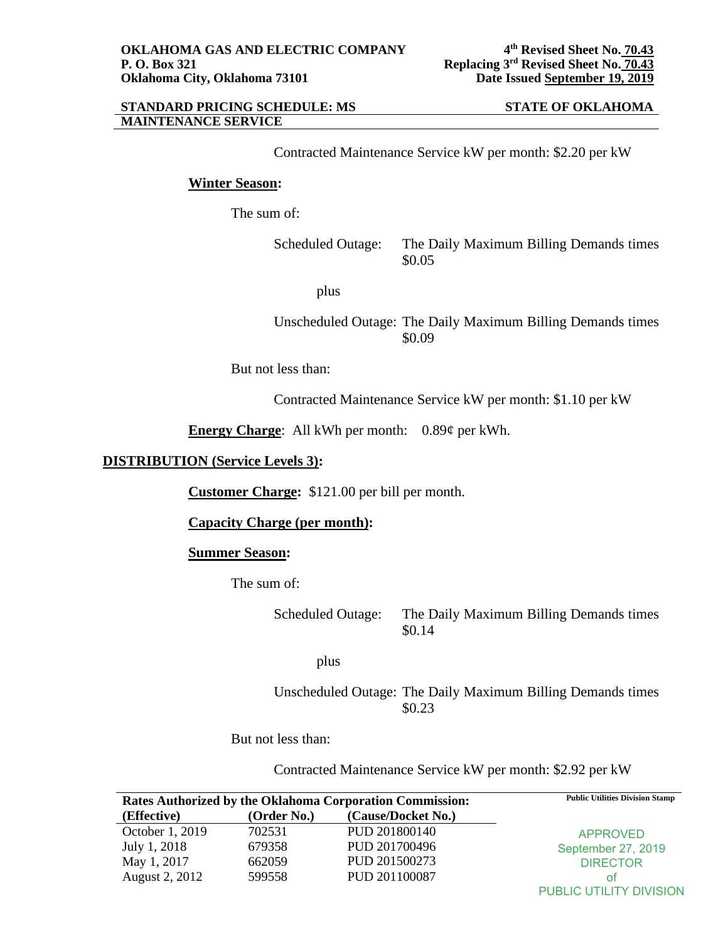Contracted Maintenance Service kW per month: \$2.20 per kW

# **Winter Season:**

The sum of:

Scheduled Outage: The Daily Maximum Billing Demands times \$0.05

plus

# Unscheduled Outage: The Daily Maximum Billing Demands times \$0.09

But not less than:

Contracted Maintenance Service kW per month: \$1.10 per kW

**Energy Charge**: All kWh per month: 0.89¢ per kWh.

# **DISTRIBUTION (Service Levels 3):**

**Customer Charge:** \$121.00 per bill per month.

**Capacity Charge (per month):** 

### **Summer Season:**

The sum of:

Scheduled Outage: The Daily Maximum Billing Demands times \$0.14

plus

Unscheduled Outage: The Daily Maximum Billing Demands times \$0.23

But not less than:

Contracted Maintenance Service kW per month: \$2.92 per kW

| Rates Authorized by the Oklahoma Corporation Commission: |             |                    | <b>Public Utilities Division Stamp</b> |
|----------------------------------------------------------|-------------|--------------------|----------------------------------------|
| (Effective)                                              | (Order No.) | (Cause/Docket No.) |                                        |
| October 1, 2019                                          | 702531      | PUD 201800140      | <b>APPROVED</b>                        |
| July 1, 2018                                             | 679358      | PUD 201700496      | September 27, 2019                     |
| May 1, 2017                                              | 662059      | PUD 201500273      | <b>DIRECTOR</b>                        |
| August 2, 2012                                           | 599558      | PUD 201100087      | Οt                                     |
|                                                          |             |                    | <b>PUBLIC UTILITY DIVISION</b>         |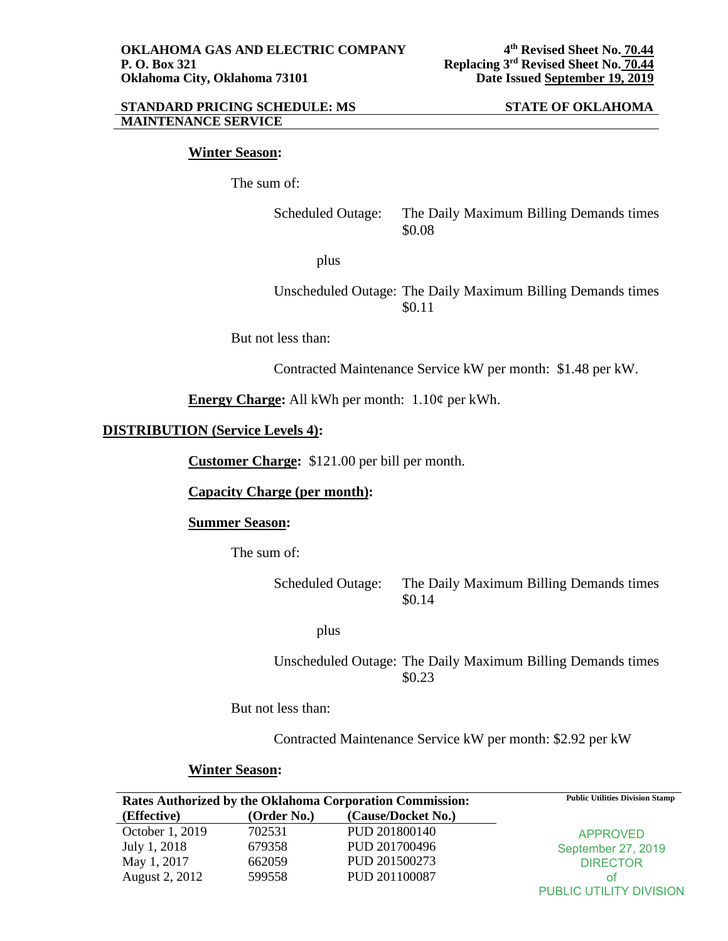### **Winter Season:**

The sum of:

Scheduled Outage: The Daily Maximum Billing Demands times \$0.08

plus

Unscheduled Outage: The Daily Maximum Billing Demands times \$0.11

But not less than:

Contracted Maintenance Service kW per month: \$1.48 per kW.

**Energy Charge:** All kWh per month: 1.10¢ per kWh.

# **DISTRIBUTION (Service Levels 4):**

**Customer Charge:** \$121.00 per bill per month.

**Capacity Charge (per month):** 

### **Summer Season:**

The sum of:

Scheduled Outage: The Daily Maximum Billing Demands times \$0.14

plus

Unscheduled Outage: The Daily Maximum Billing Demands times \$0.23

But not less than:

Contracted Maintenance Service kW per month: \$2.92 per kW

# **Winter Season:**

| Rates Authorized by the Oklahoma Corporation Commission: |             |                    | <b>Public Utilities Division Stamp</b> |
|----------------------------------------------------------|-------------|--------------------|----------------------------------------|
| (Effective)                                              | (Order No.) | (Cause/Docket No.) |                                        |
| October 1, 2019                                          | 702531      | PUD 201800140      | <b>APPROVED</b>                        |
| July 1, 2018                                             | 679358      | PUD 201700496      | September 27, 2019                     |
| May 1, 2017                                              | 662059      | PUD 201500273      | <b>DIRECTOR</b>                        |
| August 2, 2012                                           | 599558      | PUD 201100087      | Οt                                     |
|                                                          |             |                    | <b>PUBLIC UTILITY DIVISION</b>         |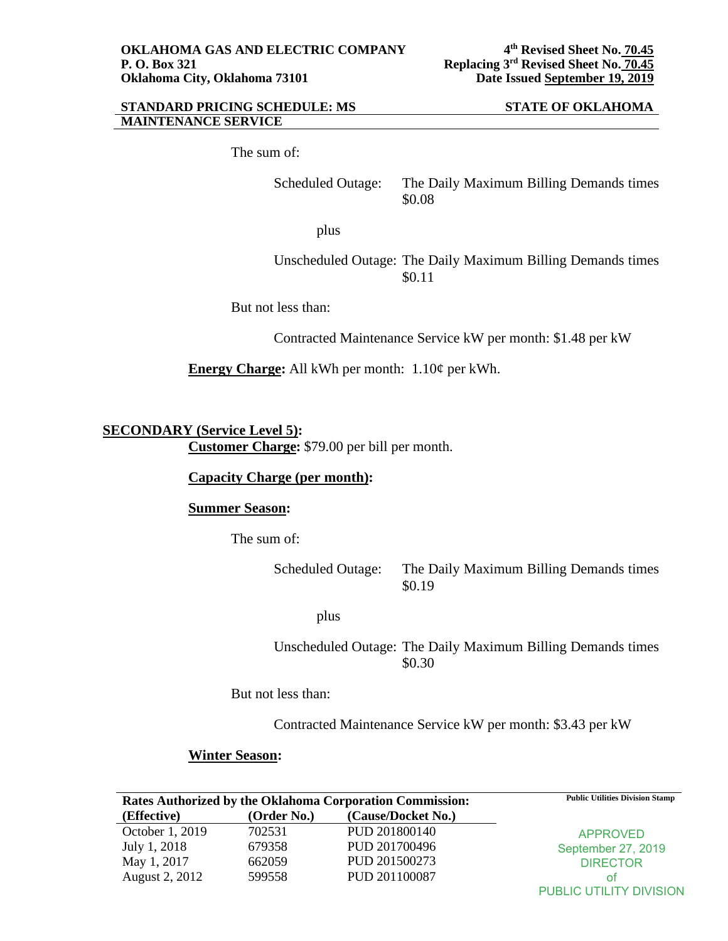The sum of:

Scheduled Outage: The Daily Maximum Billing Demands times \$0.08

plus

Unscheduled Outage: The Daily Maximum Billing Demands times \$0.11

But not less than:

Contracted Maintenance Service kW per month: \$1.48 per kW

**Energy Charge:** All kWh per month: 1.10¢ per kWh.

**SECONDARY (Service Level 5):** 

**Customer Charge:** \$79.00 per bill per month.

**Capacity Charge (per month):** 

# **Summer Season:**

The sum of:

Scheduled Outage: The Daily Maximum Billing Demands times \$0.19

plus

Unscheduled Outage: The Daily Maximum Billing Demands times \$0.30

But not less than:

Contracted Maintenance Service kW per month: \$3.43 per kW

# **Winter Season:**

| Rates Authorized by the Oklahoma Corporation Commission: |             |                    | <b>Public Utilities Division Stamp</b> |
|----------------------------------------------------------|-------------|--------------------|----------------------------------------|
| (Effective)                                              | (Order No.) | (Cause/Docket No.) |                                        |
| October 1, 2019                                          | 702531      | PUD 201800140      | <b>APPROVED</b>                        |
| July 1, 2018                                             | 679358      | PUD 201700496      | September 27, 2019                     |
| May 1, 2017                                              | 662059      | PUD 201500273      | <b>DIRECTOR</b>                        |
| August 2, 2012                                           | 599558      | PUD 201100087      | ΟŤ                                     |
|                                                          |             |                    | <b>PUBLIC UTILITY DIVISION</b>         |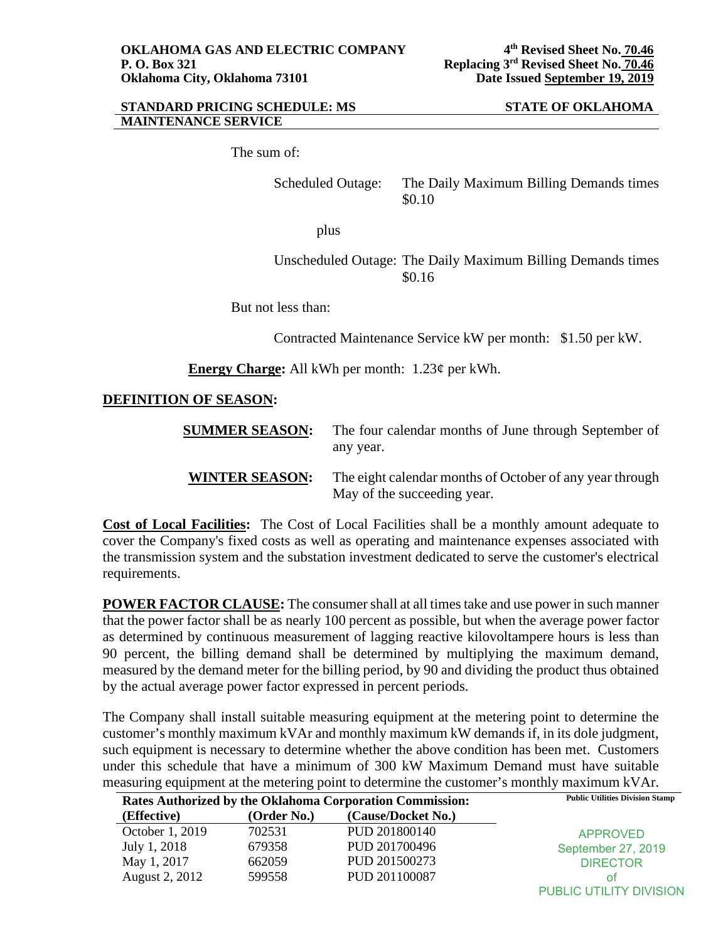The sum of:

Scheduled Outage: The Daily Maximum Billing Demands times \$0.10

plus

Unscheduled Outage: The Daily Maximum Billing Demands times \$0.16

But not less than:

Contracted Maintenance Service kW per month: \$1.50 per kW.

**Energy Charge:** All kWh per month: 1.23¢ per kWh.

# **DEFINITION OF SEASON:**

| <b>SUMMER SEASON:</b> | The four calendar months of June through September of<br>any year.                      |
|-----------------------|-----------------------------------------------------------------------------------------|
| <b>WINTER SEASON:</b> | The eight calendar months of October of any year through<br>May of the succeeding year. |

**Cost of Local Facilities:** The Cost of Local Facilities shall be a monthly amount adequate to cover the Company's fixed costs as well as operating and maintenance expenses associated with the transmission system and the substation investment dedicated to serve the customer's electrical requirements.

**POWER FACTOR CLAUSE:** The consumer shall at all times take and use power in such manner that the power factor shall be as nearly 100 percent as possible, but when the average power factor as determined by continuous measurement of lagging reactive kilovoltampere hours is less than 90 percent, the billing demand shall be determined by multiplying the maximum demand, measured by the demand meter for the billing period, by 90 and dividing the product thus obtained by the actual average power factor expressed in percent periods.

The Company shall install suitable measuring equipment at the metering point to determine the customer's monthly maximum kVAr and monthly maximum kW demands if, in its dole judgment, such equipment is necessary to determine whether the above condition has been met. Customers under this schedule that have a minimum of 300 kW Maximum Demand must have suitable measuring equipment at the metering point to determine the customer's monthly maximum kVAr.

| <b>Rates Authorized by the Oklahoma Corporation Commission:</b> |             |                    | <b>Public Utilities Division Stamp</b> |
|-----------------------------------------------------------------|-------------|--------------------|----------------------------------------|
| (Effective)                                                     | (Order No.) | (Cause/Docket No.) |                                        |
| October 1, 2019                                                 | 702531      | PUD 201800140      | <b>APPROVED</b>                        |
| July 1, 2018                                                    | 679358      | PUD 201700496      | September 27, 2019                     |
| May 1, 2017                                                     | 662059      | PUD 201500273      | <b>DIRECTOR</b>                        |
| August 2, 2012                                                  | 599558      | PUD 201100087      | ΩŤ                                     |
|                                                                 |             |                    | PUBLIC UTILITY DIVISION                |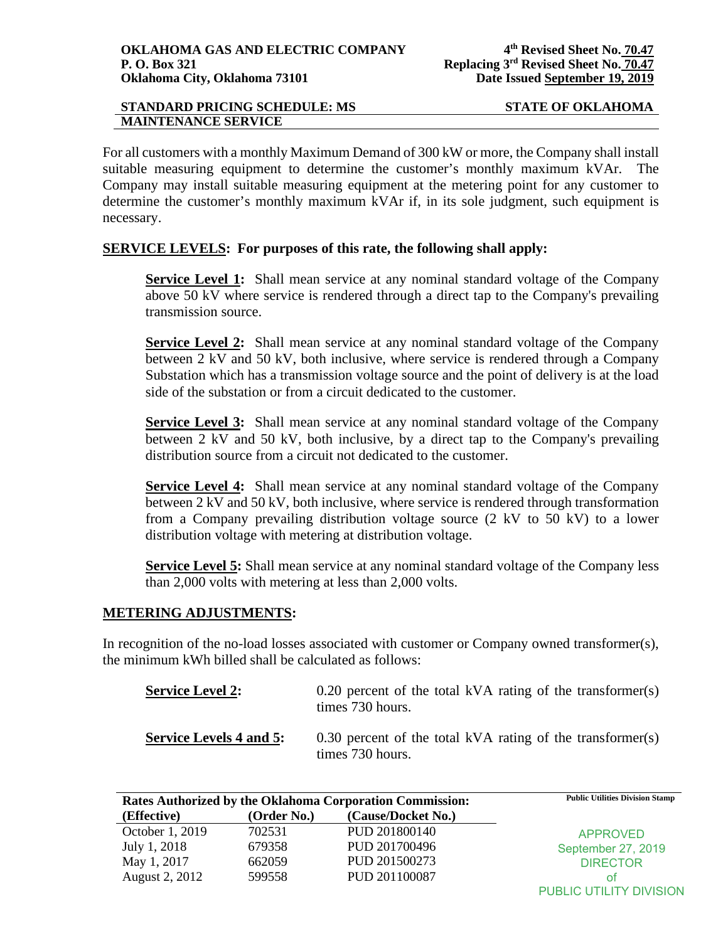For all customers with a monthly Maximum Demand of 300 kW or more, the Company shall install suitable measuring equipment to determine the customer's monthly maximum kVAr. The Company may install suitable measuring equipment at the metering point for any customer to determine the customer's monthly maximum kVAr if, in its sole judgment, such equipment is necessary.

# **SERVICE LEVELS: For purposes of this rate, the following shall apply:**

**Service Level 1:** Shall mean service at any nominal standard voltage of the Company above 50 kV where service is rendered through a direct tap to the Company's prevailing transmission source.

**Service Level 2:** Shall mean service at any nominal standard voltage of the Company between 2 kV and 50 kV, both inclusive, where service is rendered through a Company Substation which has a transmission voltage source and the point of delivery is at the load side of the substation or from a circuit dedicated to the customer.

**Service Level 3:** Shall mean service at any nominal standard voltage of the Company between 2 kV and 50 kV, both inclusive, by a direct tap to the Company's prevailing distribution source from a circuit not dedicated to the customer.

**Service Level 4:** Shall mean service at any nominal standard voltage of the Company between 2 kV and 50 kV, both inclusive, where service is rendered through transformation from a Company prevailing distribution voltage source (2 kV to 50 kV) to a lower distribution voltage with metering at distribution voltage.

**Service Level 5:** Shall mean service at any nominal standard voltage of the Company less than 2,000 volts with metering at less than 2,000 volts.

# **METERING ADJUSTMENTS:**

In recognition of the no-load losses associated with customer or Company owned transformer(s), the minimum kWh billed shall be calculated as follows:

| <b>Service Level 2:</b>        | $0.20$ percent of the total kVA rating of the transformer(s)<br>times 730 hours. |
|--------------------------------|----------------------------------------------------------------------------------|
| <b>Service Levels 4 and 5:</b> | 0.30 percent of the total kVA rating of the transformer(s)<br>times 730 hours.   |

| Rates Authorized by the Oklahoma Corporation Commission: |             |                    | <b>Public Utilities Division Stamp</b> |
|----------------------------------------------------------|-------------|--------------------|----------------------------------------|
| (Effective)                                              | (Order No.) | (Cause/Docket No.) |                                        |
| October 1, 2019                                          | 702531      | PUD 201800140      | <b>APPROVED</b>                        |
| July 1, 2018                                             | 679358      | PUD 201700496      | September 27, 2019                     |
| May 1, 2017                                              | 662059      | PUD 201500273      | <b>DIRECTOR</b>                        |
| August 2, 2012                                           | 599558      | PUD 201100087      | ΩŤ                                     |
|                                                          |             |                    | PUBLIC UTILITY DIVISION                |